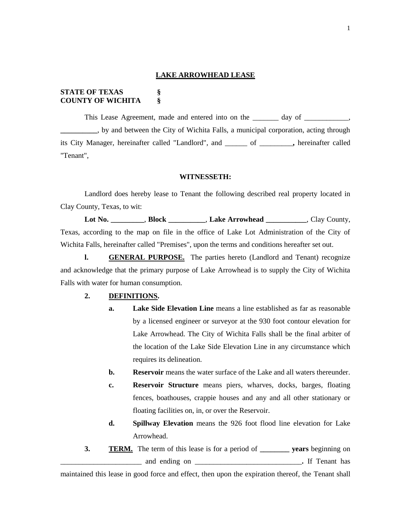#### **LAKE ARROWHEAD LEASE**

# **STATE OF TEXAS § COUNTY OF WICHITA §**

This Lease Agreement, made and entered into on the \_\_\_\_\_\_\_ day of \_\_\_\_\_\_\_\_\_\_, **\_\_\_\_\_\_\_\_\_\_**, by and between the City of Wichita Falls, a municipal corporation, acting through its City Manager, hereinafter called "Landlord", and \_\_\_\_\_\_ of \_\_\_\_\_\_\_\_\_**,** hereinafter called "Tenant",

#### **WITNESSETH:**

Landlord does hereby lease to Tenant the following described real property located in Clay County, Texas, to wit:

**Lot No. \_\_\_\_\_\_\_\_\_**, **Block \_\_\_\_\_\_\_\_\_\_**, **Lake Arrowhead \_\_\_\_\_\_\_\_\_\_\_**, Clay County, Texas, according to the map on file in the office of Lake Lot Administration of the City of Wichita Falls, hereinafter called "Premises", upon the terms and conditions hereafter set out.

**l. GENERAL PURPOSE.** The parties hereto (Landlord and Tenant) recognize and acknowledge that the primary purpose of Lake Arrowhead is to supply the City of Wichita Falls with water for human consumption.

## **2. DEFINITIONS.**

- **a. Lake Side Elevation Line** means a line established as far as reasonable by a licensed engineer or surveyor at the 930 foot contour elevation for Lake Arrowhead. The City of Wichita Falls shall be the final arbiter of the location of the Lake Side Elevation Line in any circumstance which requires its delineation.
- **b. Reservoir** means the water surface of the Lake and all waters thereunder.
- **c. Reservoir Structure** means piers, wharves, docks, barges, floating fences, boathouses, crappie houses and any and all other stationary or floating facilities on, in, or over the Reservoir.
- **d. Spillway Elevation** means the 926 foot flood line elevation for Lake Arrowhead.
- **3. TERM.** The term of this lease is for a period of **\_\_\_\_\_\_\_\_ years** beginning on \_\_\_\_\_\_\_\_\_\_\_\_\_\_\_\_\_\_\_\_\_\_ and ending on \_\_\_\_\_\_\_\_\_\_\_\_\_\_\_\_\_\_\_\_\_\_\_\_\_\_\_\_\_**.** If Tenant has

maintained this lease in good force and effect, then upon the expiration thereof, the Tenant shall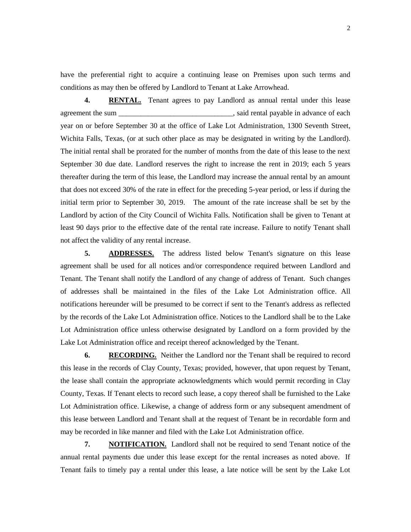have the preferential right to acquire a continuing lease on Premises upon such terms and conditions as may then be offered by Landlord to Tenant at Lake Arrowhead.

**4. RENTAL.** Tenant agrees to pay Landlord as annual rental under this lease agreement the sum \_\_\_\_\_\_\_\_\_\_\_\_\_\_\_\_\_\_\_\_\_\_\_\_\_\_\_\_\_\_\_, said rental payable in advance of each year on or before September 30 at the office of Lake Lot Administration, 1300 Seventh Street, Wichita Falls, Texas, (or at such other place as may be designated in writing by the Landlord). The initial rental shall be prorated for the number of months from the date of this lease to the next September 30 due date. Landlord reserves the right to increase the rent in 2019; each 5 years thereafter during the term of this lease, the Landlord may increase the annual rental by an amount that does not exceed 30% of the rate in effect for the preceding 5-year period, or less if during the initial term prior to September 30, 2019. The amount of the rate increase shall be set by the Landlord by action of the City Council of Wichita Falls. Notification shall be given to Tenant at least 90 days prior to the effective date of the rental rate increase. Failure to notify Tenant shall not affect the validity of any rental increase.

**5. ADDRESSES.** The address listed below Tenant's signature on this lease agreement shall be used for all notices and/or correspondence required between Landlord and Tenant. The Tenant shall notify the Landlord of any change of address of Tenant. Such changes of addresses shall be maintained in the files of the Lake Lot Administration office. All notifications hereunder will be presumed to be correct if sent to the Tenant's address as reflected by the records of the Lake Lot Administration office. Notices to the Landlord shall be to the Lake Lot Administration office unless otherwise designated by Landlord on a form provided by the Lake Lot Administration office and receipt thereof acknowledged by the Tenant.

**6. RECORDING.** Neither the Landlord nor the Tenant shall be required to record this lease in the records of Clay County, Texas; provided, however, that upon request by Tenant, the lease shall contain the appropriate acknowledgments which would permit recording in Clay County, Texas. If Tenant elects to record such lease, a copy thereof shall be furnished to the Lake Lot Administration office. Likewise, a change of address form or any subsequent amendment of this lease between Landlord and Tenant shall at the request of Tenant be in recordable form and may be recorded in like manner and filed with the Lake Lot Administration office.

**7. NOTIFICATION.** Landlord shall not be required to send Tenant notice of the annual rental payments due under this lease except for the rental increases as noted above. If Tenant fails to timely pay a rental under this lease, a late notice will be sent by the Lake Lot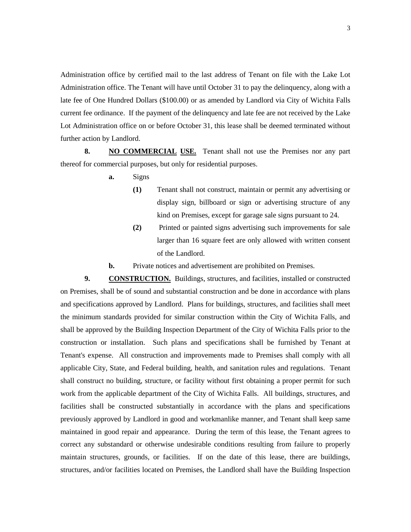Administration office by certified mail to the last address of Tenant on file with the Lake Lot Administration office. The Tenant will have until October 31 to pay the delinquency, along with a late fee of One Hundred Dollars (\$100.00) or as amended by Landlord via City of Wichita Falls current fee ordinance. If the payment of the delinquency and late fee are not received by the Lake Lot Administration office on or before October 31, this lease shall be deemed terminated without further action by Landlord.

**8. NO COMMERCIAL USE.** Tenant shall not use the Premises nor any part thereof for commercial purposes, but only for residential purposes.

- **a.** Signs
	- **(1)** Tenant shall not construct, maintain or permit any advertising or display sign, billboard or sign or advertising structure of any kind on Premises, except for garage sale signs pursuant to 24.
	- **(2)** Printed or painted signs advertising such improvements for sale larger than 16 square feet are only allowed with written consent of the Landlord.
- **b.** Private notices and advertisement are prohibited on Premises.

**9. CONSTRUCTION.** Buildings, structures, and facilities, installed or constructed on Premises, shall be of sound and substantial construction and be done in accordance with plans and specifications approved by Landlord. Plans for buildings, structures, and facilities shall meet the minimum standards provided for similar construction within the City of Wichita Falls, and shall be approved by the Building Inspection Department of the City of Wichita Falls prior to the construction or installation. Such plans and specifications shall be furnished by Tenant at Tenant's expense. All construction and improvements made to Premises shall comply with all applicable City, State, and Federal building, health, and sanitation rules and regulations. Tenant shall construct no building, structure, or facility without first obtaining a proper permit for such work from the applicable department of the City of Wichita Falls. All buildings, structures, and facilities shall be constructed substantially in accordance with the plans and specifications previously approved by Landlord in good and workmanlike manner, and Tenant shall keep same maintained in good repair and appearance. During the term of this lease, the Tenant agrees to correct any substandard or otherwise undesirable conditions resulting from failure to properly maintain structures, grounds, or facilities. If on the date of this lease, there are buildings, structures, and/or facilities located on Premises, the Landlord shall have the Building Inspection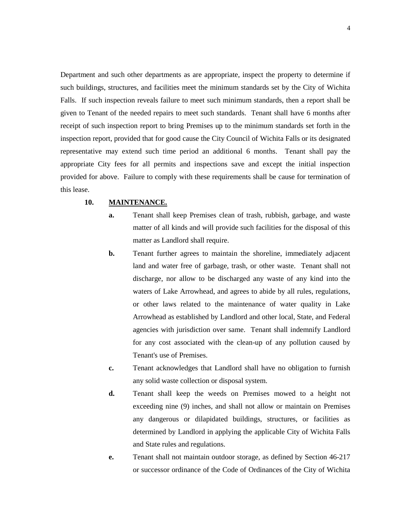Department and such other departments as are appropriate, inspect the property to determine if such buildings, structures, and facilities meet the minimum standards set by the City of Wichita Falls. If such inspection reveals failure to meet such minimum standards, then a report shall be given to Tenant of the needed repairs to meet such standards. Tenant shall have 6 months after receipt of such inspection report to bring Premises up to the minimum standards set forth in the inspection report, provided that for good cause the City Council of Wichita Falls or its designated representative may extend such time period an additional 6 months. Tenant shall pay the appropriate City fees for all permits and inspections save and except the initial inspection provided for above. Failure to comply with these requirements shall be cause for termination of this lease.

### **10. MAINTENANCE.**

- **a.** Tenant shall keep Premises clean of trash, rubbish, garbage, and waste matter of all kinds and will provide such facilities for the disposal of this matter as Landlord shall require.
- **b.** Tenant further agrees to maintain the shoreline, immediately adjacent land and water free of garbage, trash, or other waste. Tenant shall not discharge, nor allow to be discharged any waste of any kind into the waters of Lake Arrowhead, and agrees to abide by all rules, regulations, or other laws related to the maintenance of water quality in Lake Arrowhead as established by Landlord and other local, State, and Federal agencies with jurisdiction over same. Tenant shall indemnify Landlord for any cost associated with the clean-up of any pollution caused by Tenant's use of Premises.
- **c.** Tenant acknowledges that Landlord shall have no obligation to furnish any solid waste collection or disposal system.
- **d.** Tenant shall keep the weeds on Premises mowed to a height not exceeding nine (9) inches, and shall not allow or maintain on Premises any dangerous or dilapidated buildings, structures, or facilities as determined by Landlord in applying the applicable City of Wichita Falls and State rules and regulations.
- **e.** Tenant shall not maintain outdoor storage, as defined by Section 46-217 or successor ordinance of the Code of Ordinances of the City of Wichita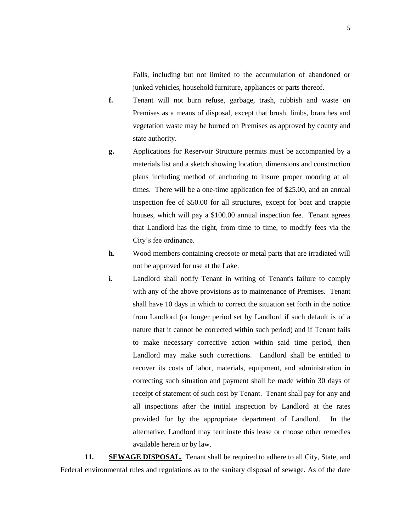Falls, including but not limited to the accumulation of abandoned or junked vehicles, household furniture, appliances or parts thereof.

- **f.** Tenant will not burn refuse, garbage, trash, rubbish and waste on Premises as a means of disposal, except that brush, limbs, branches and vegetation waste may be burned on Premises as approved by county and state authority.
- **g.** Applications for Reservoir Structure permits must be accompanied by a materials list and a sketch showing location, dimensions and construction plans including method of anchoring to insure proper mooring at all times. There will be a one-time application fee of \$25.00, and an annual inspection fee of \$50.00 for all structures, except for boat and crappie houses, which will pay a \$100.00 annual inspection fee. Tenant agrees that Landlord has the right, from time to time, to modify fees via the City's fee ordinance.
- **h.** Wood members containing creosote or metal parts that are irradiated will not be approved for use at the Lake.
- **i.** Landlord shall notify Tenant in writing of Tenant's failure to comply with any of the above provisions as to maintenance of Premises. Tenant shall have 10 days in which to correct the situation set forth in the notice from Landlord (or longer period set by Landlord if such default is of a nature that it cannot be corrected within such period) and if Tenant fails to make necessary corrective action within said time period, then Landlord may make such corrections. Landlord shall be entitled to recover its costs of labor, materials, equipment, and administration in correcting such situation and payment shall be made within 30 days of receipt of statement of such cost by Tenant. Tenant shall pay for any and all inspections after the initial inspection by Landlord at the rates provided for by the appropriate department of Landlord. In the alternative, Landlord may terminate this lease or choose other remedies available herein or by law.

**11. SEWAGE DISPOSAL.** Tenant shall be required to adhere to all City, State, and Federal environmental rules and regulations as to the sanitary disposal of sewage. As of the date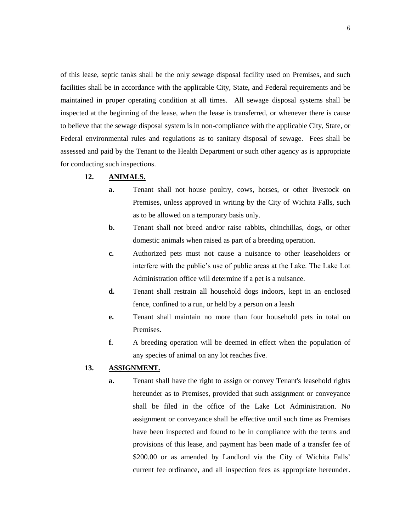of this lease, septic tanks shall be the only sewage disposal facility used on Premises, and such facilities shall be in accordance with the applicable City, State, and Federal requirements and be maintained in proper operating condition at all times. All sewage disposal systems shall be inspected at the beginning of the lease, when the lease is transferred, or whenever there is cause to believe that the sewage disposal system is in non-compliance with the applicable City, State, or Federal environmental rules and regulations as to sanitary disposal of sewage. Fees shall be assessed and paid by the Tenant to the Health Department or such other agency as is appropriate for conducting such inspections.

## **12. ANIMALS.**

- **a.** Tenant shall not house poultry, cows, horses, or other livestock on Premises, unless approved in writing by the City of Wichita Falls, such as to be allowed on a temporary basis only.
- **b.** Tenant shall not breed and/or raise rabbits, chinchillas, dogs, or other domestic animals when raised as part of a breeding operation.
- **c.** Authorized pets must not cause a nuisance to other leaseholders or interfere with the public's use of public areas at the Lake. The Lake Lot Administration office will determine if a pet is a nuisance.
- **d.** Tenant shall restrain all household dogs indoors, kept in an enclosed fence, confined to a run, or held by a person on a leash
- **e.** Tenant shall maintain no more than four household pets in total on Premises.
- **f.** A breeding operation will be deemed in effect when the population of any species of animal on any lot reaches five.

## **13. ASSIGNMENT.**

**a.** Tenant shall have the right to assign or convey Tenant's leasehold rights hereunder as to Premises, provided that such assignment or conveyance shall be filed in the office of the Lake Lot Administration. No assignment or conveyance shall be effective until such time as Premises have been inspected and found to be in compliance with the terms and provisions of this lease, and payment has been made of a transfer fee of \$200.00 or as amended by Landlord via the City of Wichita Falls' current fee ordinance, and all inspection fees as appropriate hereunder.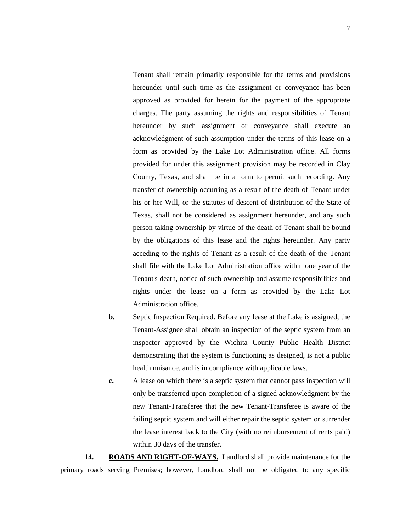Tenant shall remain primarily responsible for the terms and provisions hereunder until such time as the assignment or conveyance has been approved as provided for herein for the payment of the appropriate charges. The party assuming the rights and responsibilities of Tenant hereunder by such assignment or conveyance shall execute an acknowledgment of such assumption under the terms of this lease on a form as provided by the Lake Lot Administration office. All forms provided for under this assignment provision may be recorded in Clay County, Texas, and shall be in a form to permit such recording. Any transfer of ownership occurring as a result of the death of Tenant under his or her Will, or the statutes of descent of distribution of the State of Texas, shall not be considered as assignment hereunder, and any such person taking ownership by virtue of the death of Tenant shall be bound by the obligations of this lease and the rights hereunder. Any party acceding to the rights of Tenant as a result of the death of the Tenant shall file with the Lake Lot Administration office within one year of the Tenant's death, notice of such ownership and assume responsibilities and rights under the lease on a form as provided by the Lake Lot Administration office.

- **b.** Septic Inspection Required. Before any lease at the Lake is assigned, the Tenant-Assignee shall obtain an inspection of the septic system from an inspector approved by the Wichita County Public Health District demonstrating that the system is functioning as designed, is not a public health nuisance, and is in compliance with applicable laws.
- **c.** A lease on which there is a septic system that cannot pass inspection will only be transferred upon completion of a signed acknowledgment by the new Tenant-Transferee that the new Tenant-Transferee is aware of the failing septic system and will either repair the septic system or surrender the lease interest back to the City (with no reimbursement of rents paid) within 30 days of the transfer.

**14. ROADS AND RIGHT-OF-WAYS.** Landlord shall provide maintenance for the primary roads serving Premises; however, Landlord shall not be obligated to any specific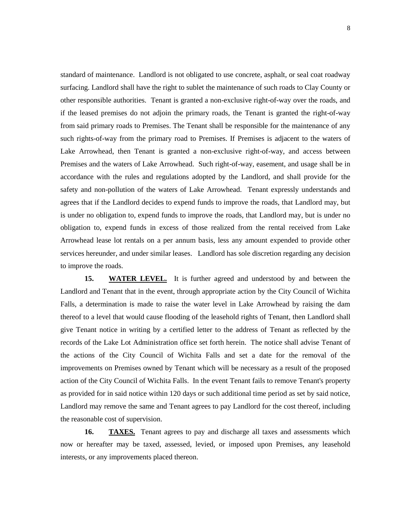standard of maintenance. Landlord is not obligated to use concrete, asphalt, or seal coat roadway surfacing. Landlord shall have the right to sublet the maintenance of such roads to Clay County or other responsible authorities. Tenant is granted a non-exclusive right-of-way over the roads, and if the leased premises do not adjoin the primary roads, the Tenant is granted the right-of-way from said primary roads to Premises. The Tenant shall be responsible for the maintenance of any such rights-of-way from the primary road to Premises. If Premises is adjacent to the waters of Lake Arrowhead, then Tenant is granted a non-exclusive right-of-way, and access between Premises and the waters of Lake Arrowhead. Such right-of-way, easement, and usage shall be in accordance with the rules and regulations adopted by the Landlord, and shall provide for the safety and non-pollution of the waters of Lake Arrowhead. Tenant expressly understands and agrees that if the Landlord decides to expend funds to improve the roads, that Landlord may, but is under no obligation to, expend funds to improve the roads, that Landlord may, but is under no obligation to, expend funds in excess of those realized from the rental received from Lake Arrowhead lease lot rentals on a per annum basis, less any amount expended to provide other services hereunder, and under similar leases. Landlord has sole discretion regarding any decision to improve the roads.

**15. WATER LEVEL.** It is further agreed and understood by and between the Landlord and Tenant that in the event, through appropriate action by the City Council of Wichita Falls, a determination is made to raise the water level in Lake Arrowhead by raising the dam thereof to a level that would cause flooding of the leasehold rights of Tenant, then Landlord shall give Tenant notice in writing by a certified letter to the address of Tenant as reflected by the records of the Lake Lot Administration office set forth herein. The notice shall advise Tenant of the actions of the City Council of Wichita Falls and set a date for the removal of the improvements on Premises owned by Tenant which will be necessary as a result of the proposed action of the City Council of Wichita Falls. In the event Tenant fails to remove Tenant's property as provided for in said notice within 120 days or such additional time period as set by said notice, Landlord may remove the same and Tenant agrees to pay Landlord for the cost thereof, including the reasonable cost of supervision.

16. **TAXES.** Tenant agrees to pay and discharge all taxes and assessments which now or hereafter may be taxed, assessed, levied, or imposed upon Premises, any leasehold interests, or any improvements placed thereon.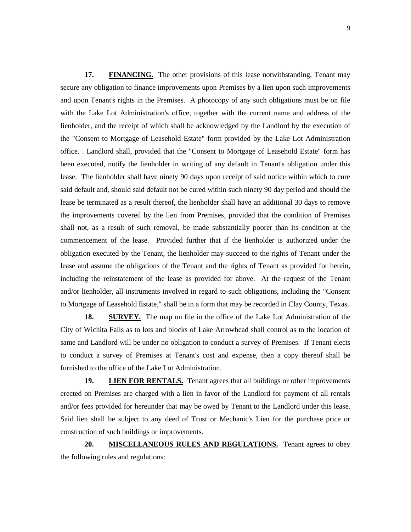**17. FINANCING.** The other provisions of this lease notwithstanding, Tenant may secure any obligation to finance improvements upon Premises by a lien upon such improvements and upon Tenant's rights in the Premises. A photocopy of any such obligations must be on file with the Lake Lot Administration's office, together with the current name and address of the lienholder, and the receipt of which shall be acknowledged by the Landlord by the execution of the "Consent to Mortgage of Leasehold Estate" form provided by the Lake Lot Administration office. . Landlord shall, provided that the "Consent to Mortgage of Leasehold Estate" form has been executed, notify the lienholder in writing of any default in Tenant's obligation under this lease. The lienholder shall have ninety 90 days upon receipt of said notice within which to cure said default and, should said default not be cured within such ninety 90 day period and should the lease be terminated as a result thereof, the lienholder shall have an additional 30 days to remove the improvements covered by the lien from Premises, provided that the condition of Premises shall not, as a result of such removal, be made substantially poorer than its condition at the commencement of the lease. Provided further that if the lienholder is authorized under the obligation executed by the Tenant, the lienholder may succeed to the rights of Tenant under the lease and assume the obligations of the Tenant and the rights of Tenant as provided for herein, including the reinstatement of the lease as provided for above. At the request of the Tenant and/or lienholder, all instruments involved in regard to such obligations, including the "Consent to Mortgage of Leasehold Estate," shall be in a form that may be recorded in Clay County, Texas.

**18. SURVEY.** The map on file in the office of the Lake Lot Administration of the City of Wichita Falls as to lots and blocks of Lake Arrowhead shall control as to the location of same and Landlord will be under no obligation to conduct a survey of Premises. If Tenant elects to conduct a survey of Premises at Tenant's cost and expense, then a copy thereof shall be furnished to the office of the Lake Lot Administration.

**19. LIEN FOR RENTALS.** Tenant agrees that all buildings or other improvements erected on Premises are charged with a lien in favor of the Landlord for payment of all rentals and/or fees provided for hereunder that may be owed by Tenant to the Landlord under this lease. Said lien shall be subject to any deed of Trust or Mechanic's Lien for the purchase price or construction of such buildings or improvements.

**20. MISCELLANEOUS RULES AND REGULATIONS.** Tenant agrees to obey the following rules and regulations: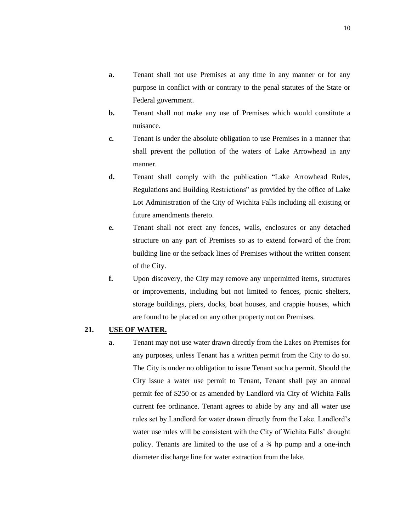- **a.** Tenant shall not use Premises at any time in any manner or for any purpose in conflict with or contrary to the penal statutes of the State or Federal government.
- **b.** Tenant shall not make any use of Premises which would constitute a nuisance.
- **c.** Tenant is under the absolute obligation to use Premises in a manner that shall prevent the pollution of the waters of Lake Arrowhead in any manner.
- **d.** Tenant shall comply with the publication "Lake Arrowhead Rules, Regulations and Building Restrictions" as provided by the office of Lake Lot Administration of the City of Wichita Falls including all existing or future amendments thereto.
- **e.** Tenant shall not erect any fences, walls, enclosures or any detached structure on any part of Premises so as to extend forward of the front building line or the setback lines of Premises without the written consent of the City.
- **f.** Upon discovery, the City may remove any unpermitted items, structures or improvements, including but not limited to fences, picnic shelters, storage buildings, piers, docks, boat houses, and crappie houses, which are found to be placed on any other property not on Premises.

## **21. USE OF WATER.**

**a**. Tenant may not use water drawn directly from the Lakes on Premises for any purposes, unless Tenant has a written permit from the City to do so. The City is under no obligation to issue Tenant such a permit. Should the City issue a water use permit to Tenant, Tenant shall pay an annual permit fee of \$250 or as amended by Landlord via City of Wichita Falls current fee ordinance. Tenant agrees to abide by any and all water use rules set by Landlord for water drawn directly from the Lake. Landlord's water use rules will be consistent with the City of Wichita Falls' drought policy. Tenants are limited to the use of a ¾ hp pump and a one-inch diameter discharge line for water extraction from the lake.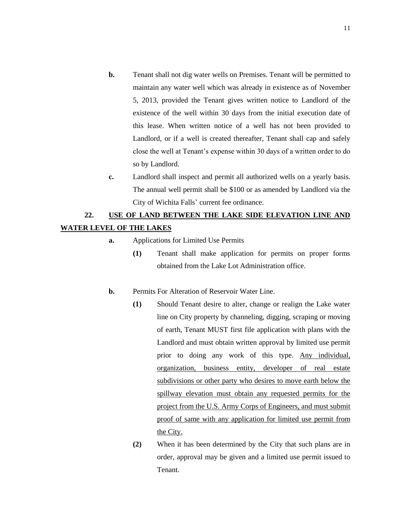- **b.** Tenant shall not dig water wells on Premises. Tenant will be permitted to maintain any water well which was already in existence as of November 5, 2013, provided the Tenant gives written notice to Landlord of the existence of the well within 30 days from the initial execution date of this lease. When written notice of a well has not been provided to Landlord, or if a well is created thereafter, Tenant shall cap and safely close the well at Tenant's expense within 30 days of a written order to do so by Landlord.
- **c.** Landlord shall inspect and permit all authorized wells on a yearly basis. The annual well permit shall be \$100 or as amended by Landlord via the City of Wichita Falls' current fee ordinance.

# **22. USE OF LAND BETWEEN THE LAKE SIDE ELEVATION LINE AND WATER LEVEL OF THE LAKES**

- **a.** Applications for Limited Use Permits
	- **(1)** Tenant shall make application for permits on proper forms obtained from the Lake Lot Administration office.

#### **b.** Permits For Alteration of Reservoir Water Line.

- **(1)** Should Tenant desire to alter, change or realign the Lake water line on City property by channeling, digging, scraping or moving of earth, Tenant MUST first file application with plans with the Landlord and must obtain written approval by limited use permit prior to doing any work of this type. Any individual, organization, business entity, developer of real estate subdivisions or other party who desires to move earth below the spillway elevation must obtain any requested permits for the project from the U.S. Army Corps of Engineers, and must submit proof of same with any application for limited use permit from the City.
- **(2)** When it has been determined by the City that such plans are in order, approval may be given and a limited use permit issued to Tenant.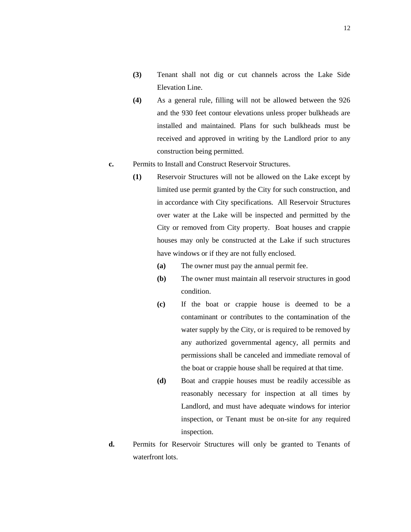- **(3)** Tenant shall not dig or cut channels across the Lake Side Elevation Line.
- **(4)** As a general rule, filling will not be allowed between the 926 and the 930 feet contour elevations unless proper bulkheads are installed and maintained. Plans for such bulkheads must be received and approved in writing by the Landlord prior to any construction being permitted.
- **c.** Permits to Install and Construct Reservoir Structures.
	- **(1)** Reservoir Structures will not be allowed on the Lake except by limited use permit granted by the City for such construction, and in accordance with City specifications. All Reservoir Structures over water at the Lake will be inspected and permitted by the City or removed from City property. Boat houses and crappie houses may only be constructed at the Lake if such structures have windows or if they are not fully enclosed.
		- **(a)** The owner must pay the annual permit fee.
		- **(b)** The owner must maintain all reservoir structures in good condition.
		- **(c)** If the boat or crappie house is deemed to be a contaminant or contributes to the contamination of the water supply by the City, or is required to be removed by any authorized governmental agency, all permits and permissions shall be canceled and immediate removal of the boat or crappie house shall be required at that time.
		- **(d)** Boat and crappie houses must be readily accessible as reasonably necessary for inspection at all times by Landlord, and must have adequate windows for interior inspection, or Tenant must be on-site for any required inspection.
- **d.** Permits for Reservoir Structures will only be granted to Tenants of waterfront lots.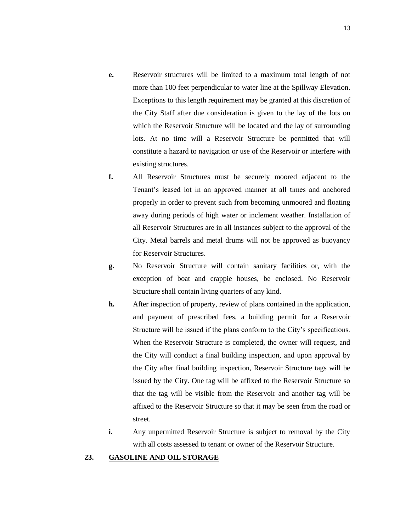- **e.** Reservoir structures will be limited to a maximum total length of not more than 100 feet perpendicular to water line at the Spillway Elevation. Exceptions to this length requirement may be granted at this discretion of the City Staff after due consideration is given to the lay of the lots on which the Reservoir Structure will be located and the lay of surrounding lots. At no time will a Reservoir Structure be permitted that will constitute a hazard to navigation or use of the Reservoir or interfere with existing structures.
- **f.** All Reservoir Structures must be securely moored adjacent to the Tenant's leased lot in an approved manner at all times and anchored properly in order to prevent such from becoming unmoored and floating away during periods of high water or inclement weather. Installation of all Reservoir Structures are in all instances subject to the approval of the City. Metal barrels and metal drums will not be approved as buoyancy for Reservoir Structures.
- **g.** No Reservoir Structure will contain sanitary facilities or, with the exception of boat and crappie houses, be enclosed. No Reservoir Structure shall contain living quarters of any kind.
- **h.** After inspection of property, review of plans contained in the application, and payment of prescribed fees, a building permit for a Reservoir Structure will be issued if the plans conform to the City's specifications. When the Reservoir Structure is completed, the owner will request, and the City will conduct a final building inspection, and upon approval by the City after final building inspection, Reservoir Structure tags will be issued by the City. One tag will be affixed to the Reservoir Structure so that the tag will be visible from the Reservoir and another tag will be affixed to the Reservoir Structure so that it may be seen from the road or street.
- **i.** Any unpermitted Reservoir Structure is subject to removal by the City with all costs assessed to tenant or owner of the Reservoir Structure.

## **23. GASOLINE AND OIL STORAGE**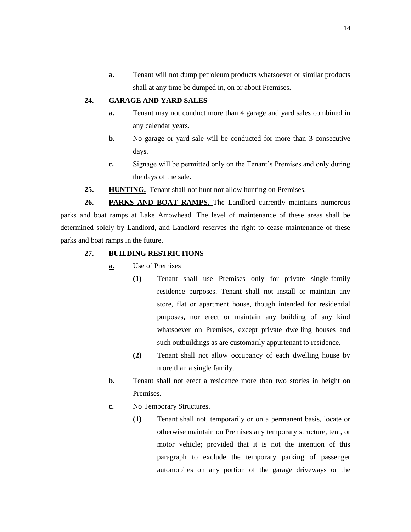**a.** Tenant will not dump petroleum products whatsoever or similar products shall at any time be dumped in, on or about Premises.

# **24. GARAGE AND YARD SALES**

- **a.** Tenant may not conduct more than 4 garage and yard sales combined in any calendar years.
- **b.** No garage or yard sale will be conducted for more than 3 consecutive days.
- **c.** Signage will be permitted only on the Tenant's Premises and only during the days of the sale.
- **25. HUNTING.** Tenant shall not hunt nor allow hunting on Premises.

**26. PARKS AND BOAT RAMPS.** The Landlord currently maintains numerous parks and boat ramps at Lake Arrowhead. The level of maintenance of these areas shall be determined solely by Landlord, and Landlord reserves the right to cease maintenance of these parks and boat ramps in the future.

- **27. BUILDING RESTRICTIONS**
	- **a.** Use of Premises
		- **(1)** Tenant shall use Premises only for private single-family residence purposes. Tenant shall not install or maintain any store, flat or apartment house, though intended for residential purposes, nor erect or maintain any building of any kind whatsoever on Premises, except private dwelling houses and such outbuildings as are customarily appurtenant to residence.
		- **(2)** Tenant shall not allow occupancy of each dwelling house by more than a single family.
	- **b.** Tenant shall not erect a residence more than two stories in height on Premises.
	- **c.** No Temporary Structures.
		- **(1)** Tenant shall not, temporarily or on a permanent basis, locate or otherwise maintain on Premises any temporary structure, tent, or motor vehicle; provided that it is not the intention of this paragraph to exclude the temporary parking of passenger automobiles on any portion of the garage driveways or the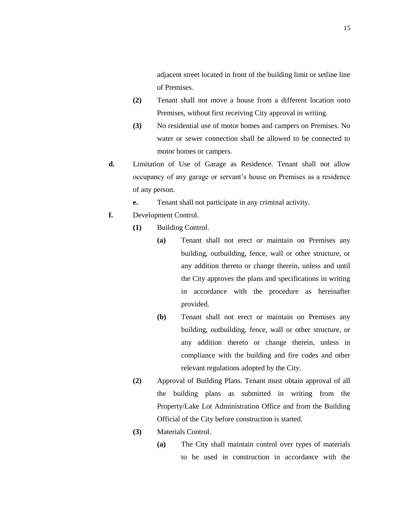adjacent street located in front of the building limit or setline line of Premises.

- **(2)** Tenant shall not move a house from a different location onto Premises, without first receiving City approval in writing.
- **(3)** No residential use of motor homes and campers on Premises. No water or sewer connection shall be allowed to be connected to motor homes or campers.
- **d.** Limitation of Use of Garage as Residence. Tenant shall not allow occupancy of any garage or servant's house on Premises as a residence of any person.
	- **e.** Tenant shall not participate in any criminal activity.
- **f.** Development Control.
	- **(1)** Building Control.
		- **(a)** Tenant shall not erect or maintain on Premises any building, outbuilding, fence, wall or other structure, or any addition thereto or change therein, unless and until the City approves the plans and specifications in writing in accordance with the procedure as hereinafter provided.
		- **(b)** Tenant shall not erect or maintain on Premises any building, outbuilding, fence, wall or other structure, or any addition thereto or change therein, unless in compliance with the building and fire codes and other relevant regulations adopted by the City.
	- **(2)** Approval of Building Plans. Tenant must obtain approval of all the building plans as submitted in writing from the Property/Lake Lot Administration Office and from the Building Official of the City before construction is started.
	- **(3)** Materials Control.
		- **(a)** The City shall maintain control over types of materials to be used in construction in accordance with the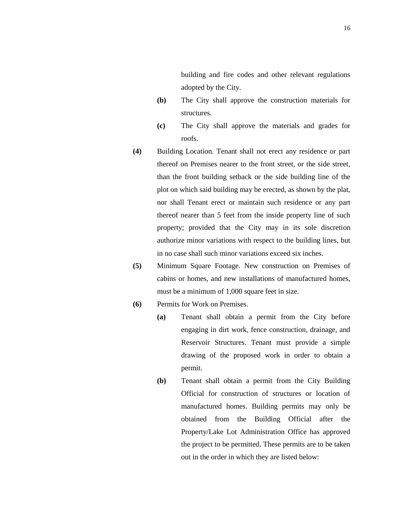building and fire codes and other relevant regulations adopted by the City.

- **(b)** The City shall approve the construction materials for structures.
- **(c)** The City shall approve the materials and grades for roofs.
- **(4)** Building Location. Tenant shall not erect any residence or part thereof on Premises nearer to the front street, or the side street, than the front building setback or the side building line of the plot on which said building may be erected, as shown by the plat, nor shall Tenant erect or maintain such residence or any part thereof nearer than 5 feet from the inside property line of such property; provided that the City may in its sole discretion authorize minor variations with respect to the building lines, but in no case shall such minor variations exceed six inches.
- **(5)** Minimum Square Footage. New construction on Premises of cabins or homes, and new installations of manufactured homes, must be a minimum of 1,000 square feet in size.

## **(6)** Permits for Work on Premises.

- **(a)** Tenant shall obtain a permit from the City before engaging in dirt work, fence construction, drainage, and Reservoir Structures. Tenant must provide a simple drawing of the proposed work in order to obtain a permit.
- **(b)** Tenant shall obtain a permit from the City Building Official for construction of structures or location of manufactured homes. Building permits may only be obtained from the Building Official after the Property/Lake Lot Administration Office has approved the project to be permitted. These permits are to be taken out in the order in which they are listed below: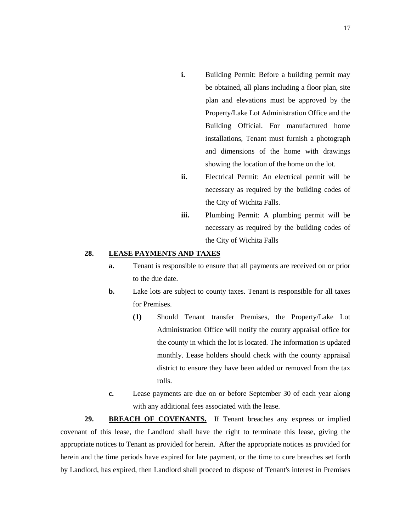- **i.** Building Permit: Before a building permit may be obtained, all plans including a floor plan, site plan and elevations must be approved by the Property/Lake Lot Administration Office and the Building Official. For manufactured home installations, Tenant must furnish a photograph and dimensions of the home with drawings showing the location of the home on the lot.
- **ii.** Electrical Permit: An electrical permit will be necessary as required by the building codes of the City of Wichita Falls.
- **iii.** Plumbing Permit: A plumbing permit will be necessary as required by the building codes of the City of Wichita Falls

### **28. LEASE PAYMENTS AND TAXES**

- **a.** Tenant is responsible to ensure that all payments are received on or prior to the due date.
- **b.** Lake lots are subject to county taxes. Tenant is responsible for all taxes for Premises.
	- **(1)** Should Tenant transfer Premises, the Property/Lake Lot Administration Office will notify the county appraisal office for the county in which the lot is located. The information is updated monthly. Lease holders should check with the county appraisal district to ensure they have been added or removed from the tax rolls.
- **c.** Lease payments are due on or before September 30 of each year along with any additional fees associated with the lease.

**29. BREACH OF COVENANTS.** If Tenant breaches any express or implied covenant of this lease, the Landlord shall have the right to terminate this lease, giving the appropriate notices to Tenant as provided for herein. After the appropriate notices as provided for herein and the time periods have expired for late payment, or the time to cure breaches set forth by Landlord, has expired, then Landlord shall proceed to dispose of Tenant's interest in Premises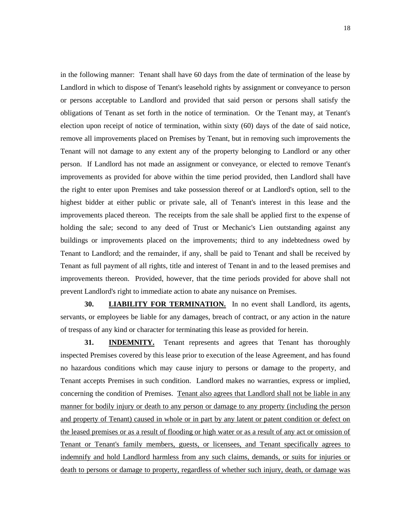in the following manner: Tenant shall have 60 days from the date of termination of the lease by Landlord in which to dispose of Tenant's leasehold rights by assignment or conveyance to person or persons acceptable to Landlord and provided that said person or persons shall satisfy the obligations of Tenant as set forth in the notice of termination. Or the Tenant may, at Tenant's election upon receipt of notice of termination, within sixty (60) days of the date of said notice, remove all improvements placed on Premises by Tenant, but in removing such improvements the Tenant will not damage to any extent any of the property belonging to Landlord or any other person. If Landlord has not made an assignment or conveyance, or elected to remove Tenant's improvements as provided for above within the time period provided, then Landlord shall have the right to enter upon Premises and take possession thereof or at Landlord's option, sell to the highest bidder at either public or private sale, all of Tenant's interest in this lease and the improvements placed thereon. The receipts from the sale shall be applied first to the expense of holding the sale; second to any deed of Trust or Mechanic's Lien outstanding against any buildings or improvements placed on the improvements; third to any indebtedness owed by Tenant to Landlord; and the remainder, if any, shall be paid to Tenant and shall be received by Tenant as full payment of all rights, title and interest of Tenant in and to the leased premises and improvements thereon. Provided, however, that the time periods provided for above shall not prevent Landlord's right to immediate action to abate any nuisance on Premises.

**30. LIABILITY FOR TERMINATION.** In no event shall Landlord, its agents, servants, or employees be liable for any damages, breach of contract, or any action in the nature of trespass of any kind or character for terminating this lease as provided for herein.

**31. INDEMNITY.** Tenant represents and agrees that Tenant has thoroughly inspected Premises covered by this lease prior to execution of the lease Agreement, and has found no hazardous conditions which may cause injury to persons or damage to the property, and Tenant accepts Premises in such condition. Landlord makes no warranties, express or implied, concerning the condition of Premises. Tenant also agrees that Landlord shall not be liable in any manner for bodily injury or death to any person or damage to any property (including the person and property of Tenant) caused in whole or in part by any latent or patent condition or defect on the leased premises or as a result of flooding or high water or as a result of any act or omission of Tenant or Tenant's family members, guests, or licensees, and Tenant specifically agrees to indemnify and hold Landlord harmless from any such claims, demands, or suits for injuries or death to persons or damage to property, regardless of whether such injury, death, or damage was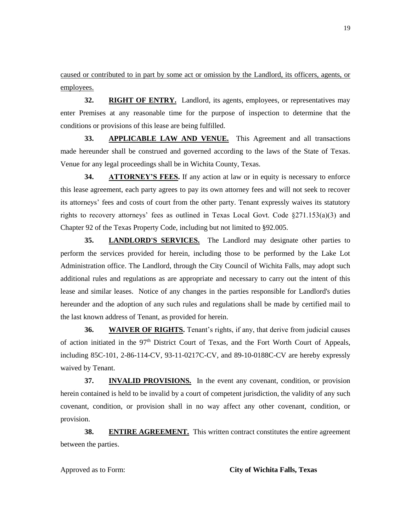caused or contributed to in part by some act or omission by the Landlord, its officers, agents, or employees.

**32. RIGHT OF ENTRY.** Landlord, its agents, employees, or representatives may enter Premises at any reasonable time for the purpose of inspection to determine that the conditions or provisions of this lease are being fulfilled.

**33. APPLICABLE LAW AND VENUE.** This Agreement and all transactions made hereunder shall be construed and governed according to the laws of the State of Texas. Venue for any legal proceedings shall be in Wichita County, Texas.

**34. ATTORNEY'S FEES.** If any action at law or in equity is necessary to enforce this lease agreement, each party agrees to pay its own attorney fees and will not seek to recover its attorneys' fees and costs of court from the other party. Tenant expressly waives its statutory rights to recovery attorneys' fees as outlined in Texas Local Govt. Code  $\S 271.153(a)(3)$  and Chapter 92 of the Texas Property Code, including but not limited to §92.005.

**35. LANDLORD'S SERVICES.** The Landlord may designate other parties to perform the services provided for herein, including those to be performed by the Lake Lot Administration office. The Landlord, through the City Council of Wichita Falls, may adopt such additional rules and regulations as are appropriate and necessary to carry out the intent of this lease and similar leases. Notice of any changes in the parties responsible for Landlord's duties hereunder and the adoption of any such rules and regulations shall be made by certified mail to the last known address of Tenant, as provided for herein.

**36. WAIVER OF RIGHTS.** Tenant's rights, if any, that derive from judicial causes of action initiated in the  $97<sup>th</sup>$  District Court of Texas, and the Fort Worth Court of Appeals, including 85C-101, 2-86-114-CV, 93-11-0217C-CV, and 89-10-0188C-CV are hereby expressly waived by Tenant.

**37. INVALID PROVISIONS.** In the event any covenant, condition, or provision herein contained is held to be invalid by a court of competent jurisdiction, the validity of any such covenant, condition, or provision shall in no way affect any other covenant, condition, or provision.

**38. ENTIRE AGREEMENT.** This written contract constitutes the entire agreement between the parties.

#### Approved as to Form: **City of Wichita Falls, Texas**